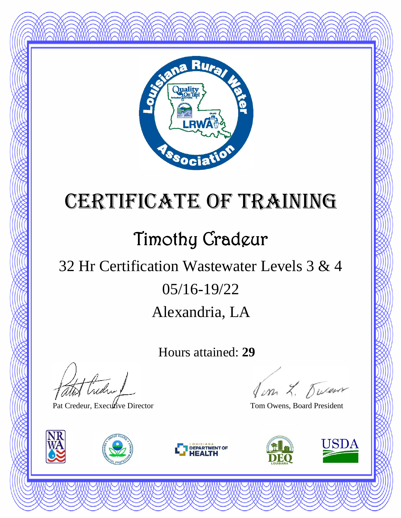

## Timothy Cradeur

### Alexandria, LA 05/16-19/22 32 Hr Certification Wastewater Levels 3 & 4

Hours attained: **29**

thedral

Pat Credeur, Executive Director Tom Owens, Board President







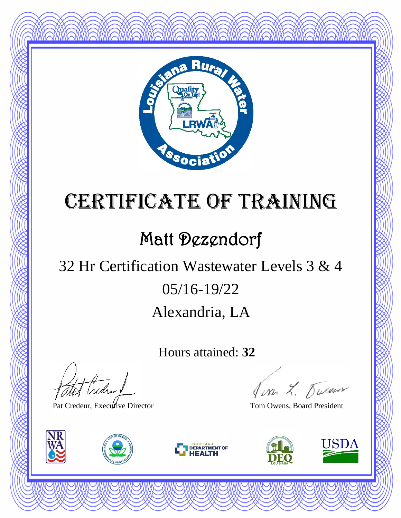

### Matt Dezendorf

### Alexandria, LA 05/16-19/22 32 Hr Certification Wastewater Levels 3 & 4

Hours attained: **32**

atot Creden

Pat Credeur, Executive Director Tom Owens, Board President







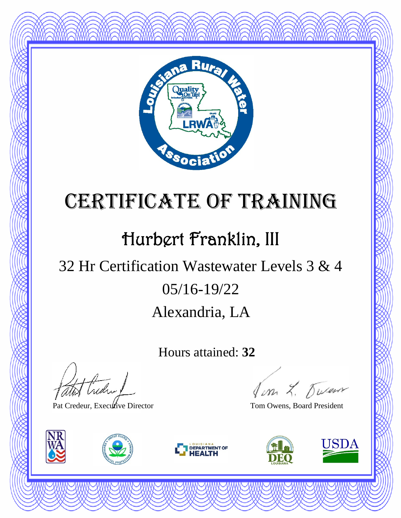

### Hurbert Franklin, III

### Alexandria, LA 05/16-19/22 32 Hr Certification Wastewater Levels 3 & 4

Hours attained: **32**

Hudry

Pat Credeur, Executive Director Tom Owens, Board President







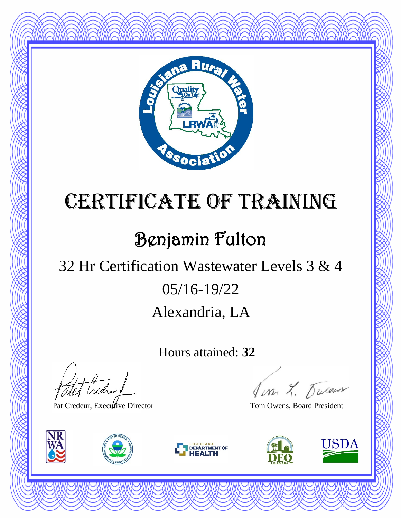

### Benjamin Fulton

### Alexandria, LA 05/16-19/22 32 Hr Certification Wastewater Levels 3 & 4

Hours attained: **32**

Hudry

Pat Credeur, Executive Director Tom Owens, Board President







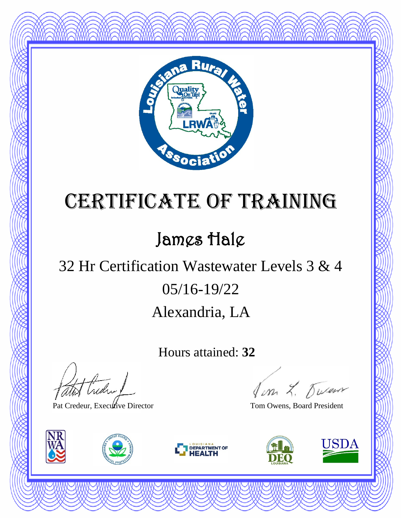

### James Hale

### Alexandria, LA 05/16-19/22 32 Hr Certification Wastewater Levels 3 & 4

Hours attained: **32**

atot treder !

Pat Credeur, Executive Director Tom Owens, Board President







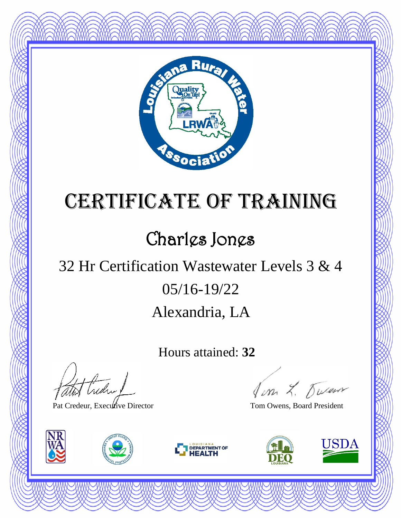

### Charles Jones

### Alexandria, LA 05/16-19/22 32 Hr Certification Wastewater Levels 3 & 4

Hours attained: **32**

atot Creden

Pat Credeur, Executive Director Tom Owens, Board President







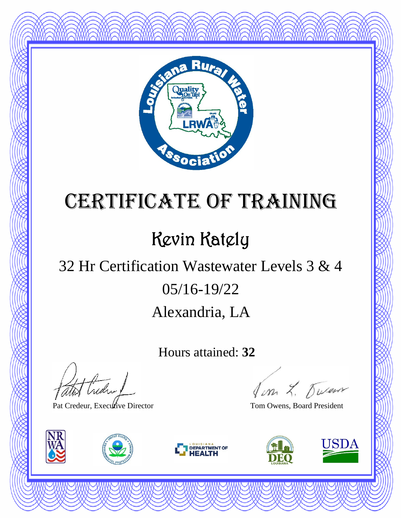

## Kevin Kately

### Alexandria, LA 05/16-19/22 32 Hr Certification Wastewater Levels 3 & 4

Hours attained: **32**

theday !

Pat Credeur, Executive Director Tom Owens, Board President







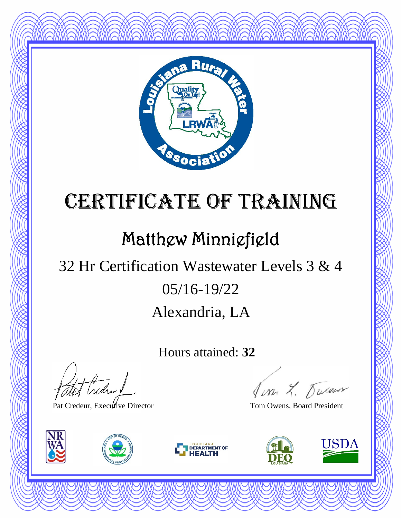

#### Matthew Minniefield

### Alexandria, LA 05/16-19/22 32 Hr Certification Wastewater Levels 3 & 4

Hours attained: **32**

Hudry

Pat Credeur, Executive Director Tom Owens, Board President







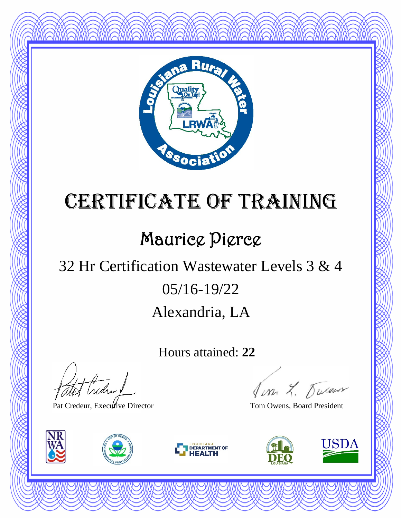

### Maurice Pierce

### Alexandria, LA 05/16-19/22 32 Hr Certification Wastewater Levels 3 & 4

Hours attained: **22**

atot Creden

Pat Credeur, Executive Director Tom Owens, Board President







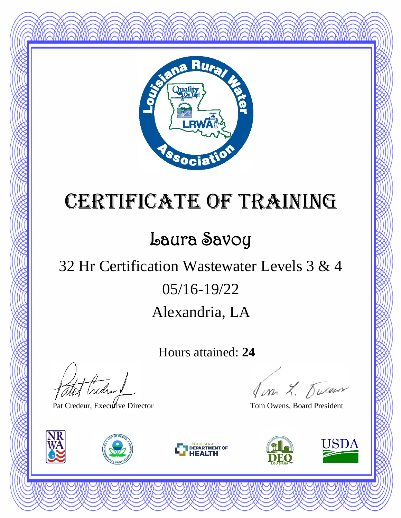

### Laura Savoy

### Alexandria, LA 05/16-19/22 32 Hr Certification Wastewater Levels 3 & 4

Hours attained: **24**

atot Creden

Pat Credeur, Executive Director Tom Owens, Board President







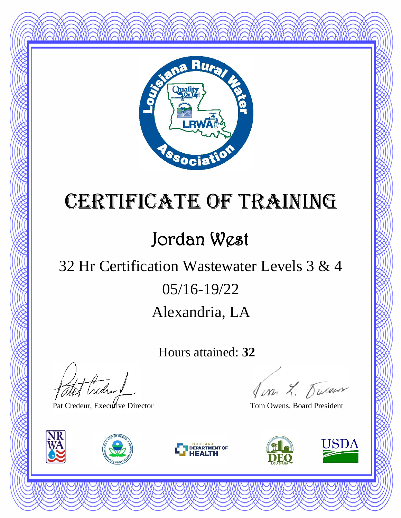

### Jordan West

### Alexandria, LA 05/16-19/22 32 Hr Certification Wastewater Levels 3 & 4

Hours attained: **32**

atot Credin 1

Pat Credeur, Executive Director Tom Owens, Board President